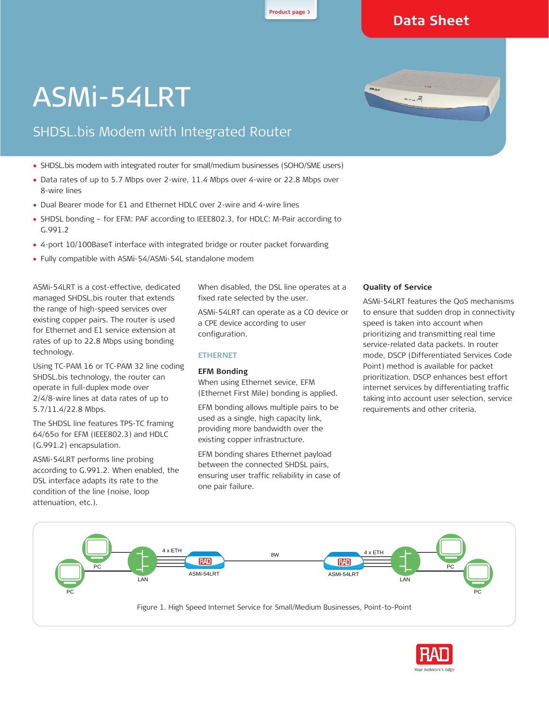**Product page <sup>&</sup>gt;**

## **Data Sheet**

 $\begin{array}{c}\n\text{Area} \\
\text{Area} \\
\text{Area} \\
\text{Area} \\
\text{Area} \\
\text{Area} \\
\text{Area} \\
\text{Area} \\
\text{Area} \\
\text{Area} \\
\text{Area} \\
\text{Area} \\
\text{Area} \\
\text{Area} \\
\text{Area} \\
\text{Area} \\
\text{Area} \\
\text{Area} \\
\text{Area} \\
\text{Area} \\
\text{Area} \\
\text{Area} \\
\text{Area} \\
\text{Area} \\
\text{Area} \\
\text{Area} \\
\text{Area} \\
\text{Area} \\
\text{Area} \\
\text{Area} \\
\text{Area} \\
\text{Area} \\
\text{Area} \\
\text{Area} \\
\text{Area} \\
\text$ 

# ASMi-54LRT

# SHDSL.bis Modem with Integrated Router

- SHDSL.bis modem with integrated router for small/medium businesses (SOHO/SME users)
- Data rates of up to 5.7 Mbps over 2-wire, 11.4 Mbps over 4-wire or 22.8 Mbps over 8-wire lines
- Dual Bearer mode for E1 and Ethernet HDLC over 2-wire and 4-wire lines
- SHDSL bonding for EFM: PAF according to IEEE802.3, for HDLC: M-Pair according to G.991.2
- 4-port 10/100BaseT interface with integrated bridge or router packet forwarding
- Fully compatible with ASMi-54/ASMi-54L standalone modem

ASMi-54LRT is a cost-effective, dedicated managed SHDSL.bis router that extends the range of high-speed services over existing copper pairs. The router is used for Ethernet and E1 service extension at rates of up to 22.8 Mbps using bonding technology.

Using TC-PAM 16 or TC-PAM 32 line coding SHDSL.bis technology, the router can operate in full-duplex mode over 2/4/8-wire lines at data rates of up to 5.7/11.4/22.8 Mbps.

The SHDSL line features TPS-TC framing 64/65o for EFM (IEEE802.3) and HDLC (G.991.2) encapsulation.

ASMi-54LRT performs line probing according to G.991.2. When enabled, the DSL interface adapts its rate to the condition of the line (noise, loop attenuation, etc.).

When disabled, the DSL line operates at a fixed rate selected by the user.

ASMi-54LRT can operate as a CO device or a CPE device according to user configuration.

#### **ETHERNET**

#### **EFM Bonding**

When using Ethernet sevice, EFM (Ethernet First Mile) bonding is applied.

EFM bonding allows multiple pairs to be used as a single, high capacity link, providing more bandwidth over the existing copper infrastructure.

EFM bonding shares Ethernet payload between the connected SHDSL pairs, ensuring user traffic reliability in case of one pair failure.

#### **Quality of Service**

ASMi-54LRT features the QoS mechanisms to ensure that sudden drop in connectivity speed is taken into account when prioritizing and transmitting real time service-related data packets. In router mode, DSCP (Differentiated Services Code Point) method is available for packet prioritization. DSCP enhances best effort internet services by differentiating traffic taking into account user selection, service requirements and other criteria.



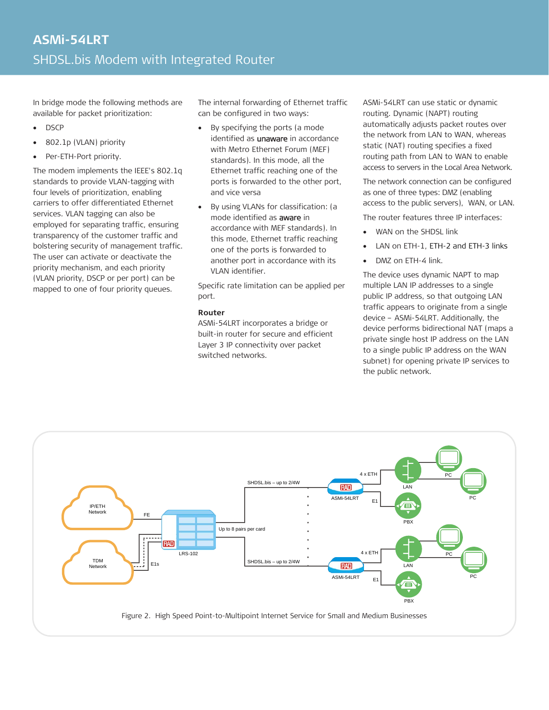In bridge mode the following methods are available for packet prioritization:

- DSCP
- 802.1p (VLAN) priority
- Per-ETH-Port priority.

The modem implements the IEEE's 802.1q standards to provide VLAN-tagging with four levels of prioritization, enabling carriers to offer differentiated Ethernet services. VLAN tagging can also be employed for separating traffic, ensuring transparency of the customer traffic and bolstering security of management traffic. The user can activate or deactivate the priority mechanism, and each priority (VLAN priority, DSCP or per port) can be mapped to one of four priority queues.

The internal forwarding of Ethernet traffic can be configured in two ways:

- By specifying the ports (a mode identified as *unaware* in accordance with Metro Ethernet Forum (MEF) standards). In this mode, all the Ethernet traffic reaching one of the ports is forwarded to the other port, and vice versa
- By using VLANs for classification: (a mode identified as aware in accordance with MEF standards). In this mode, Ethernet traffic reaching one of the ports is forwarded to another port in accordance with its VLAN identifier.

Specific rate limitation can be applied per port.

#### **Router**

ASMi-54LRT incorporates a bridge or built-in router for secure and efficient Layer 3 IP connectivity over packet switched networks.

ASMi-54LRT can use static or dynamic routing. Dynamic (NAPT) routing automatically adjusts packet routes over the network from LAN to WAN, whereas static (NAT) routing specifies a fixed routing path from LAN to WAN to enable access to servers in the Local Area Network.

The network connection can be configured as one of three types: DMZ (enabling access to the public servers), WAN, or LAN.

The router features three IP interfaces:

- WAN on the SHDSL link
- LAN on ETH-1, ETH-2 and ETH-3 links
- DMZ on ETH-4 link.

The device uses dynamic NAPT to map multiple LAN IP addresses to a single public IP address, so that outgoing LAN traffic appears to originate from a single device – ASMi-54LRT. Additionally, the device performs bidirectional NAT (maps a private single host IP address on the LAN to a single public IP address on the WAN subnet) for opening private IP services to the public network.



Figure 2. High Speed Point-to-Multipoint Internet Service for Small and Medium Businesses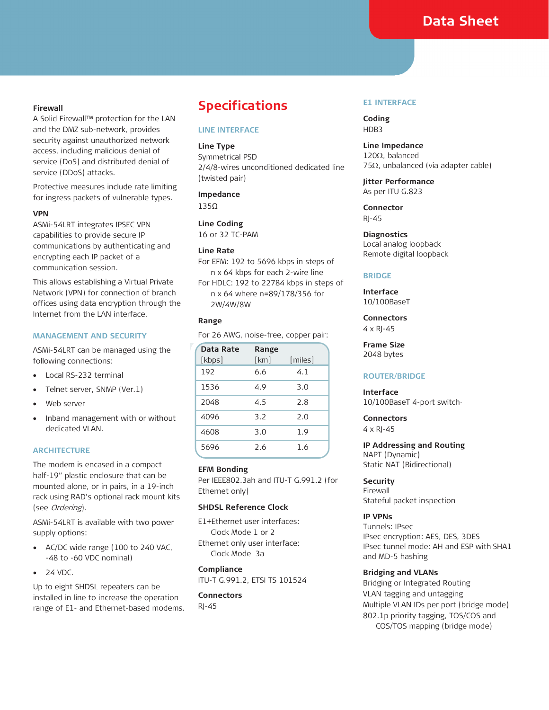### **Data Sheet**

#### **Firewall**

A Solid Firewall™ protection for the LAN and the DMZ sub-network, provides security against unauthorized network access, including malicious denial of service (DoS) and distributed denial of service (DDoS) attacks.

Protective measures include rate limiting for ingress packets of vulnerable types.

#### **VPN**

ASMi-54LRT integrates IPSEC VPN capabilities to provide secure IP communications by authenticating and encrypting each IP packet of a communication session.

This allows establishing a Virtual Private Network (VPN) for connection of branch offices using data encryption through the Internet from the LAN interface.

#### **MANAGEMENT AND SECURITY**

ASMi-54LRT can be managed using the following connections:

- Local RS-232 terminal
- Telnet server, SNMP (Ver.1)
- Web server
- Inband management with or without dedicated VLAN.

#### **ARCHITECTURE**

The modem is encased in a compact half-19" plastic enclosure that can be mounted alone, or in pairs, in a 19-inch rack using RAD's optional rack mount kits (see Ordering).

ASMi-54LRT is available with two power supply options:

- AC/DC wide range (100 to 240 VAC, -48 to -60 VDC nominal)
- 24 VDC.

Up to eight SHDSL repeaters can be installed in line to increase the operation range of E1- and Ethernet-based modems.

### **Specifications**

#### **LINE INTERFACE**

#### **Line Type**

Symmetrical PSD 2/4/8-wires unconditioned dedicated line (twisted pair)

#### **Impedance**

135Ω

**Line Coding** 16 or 32 TC-PAM

#### **Line Rate**

- For EFM: 192 to 5696 kbps in steps of n x 64 kbps for each 2-wire line
- For HDLC: 192 to 22784 kbps in steps of n x 64 where n=89/178/356 for 2W/4W/8W

#### **Range**

For 26 AWG, noise-free, copper pair:

| Data Rate | Range |         |
|-----------|-------|---------|
| [kbps]    | [km]  | [miles] |
| 192       | 6.6   | 4.1     |
| 1536      | 4.9   | 3.0     |
| 2048      | 4.5   | 2.8     |
| 4096      | 3.2   | 2.0     |
| 4608      | 3.0   | 1.9     |
| 5696      | 2.6   | 1.6     |

#### **EFM Bonding**

Per IEEE802.3ah and ITU-T G.991.2 (for Ethernet only)

#### **SHDSL Reference Clock**

E1+Ethernet user interfaces: Clock Mode 1 or 2 Ethernet only user interface: Clock Mode 3a

#### **Compliance** ITU-T G.991.2, ETSI TS 101524

**Connectors** RJ-45

#### **E1 INTERFACE**

**Coding** HDB3

**Line Impedance** 120Ω, balanced 75Ω, unbalanced (via adapter cable)

**Jitter Performance** As per ITU G.823

**Connector** RJ-45

#### **Diagnostics** Local analog loopback Remote digital loopback

#### **BRIDGE**

**Interface** 10/100BaseT

**Connectors**  $4 \times RI-45$ 

**Frame Size** 2048 bytes

#### **ROUTER/BRIDGE**

#### **Interface**

10/100BaseT 4-port switch·

**Connectors** 4 x RJ-45

**IP Addressing and Routing** NAPT (Dynamic) Static NAT (Bidirectional)

#### **Security**

Firewall Stateful packet inspection

#### **IP VPNs**

Tunnels: IPsec IPsec encryption: AES, DES, 3DES IPsec tunnel mode: AH and ESP with SHA1 and MD-5 hashing

#### **Bridging and VLANs**

Bridging or Integrated Routing VLAN tagging and untagging Multiple VLAN IDs per port (bridge mode) 802.1p priority tagging, TOS/COS and COS/TOS mapping (bridge mode)